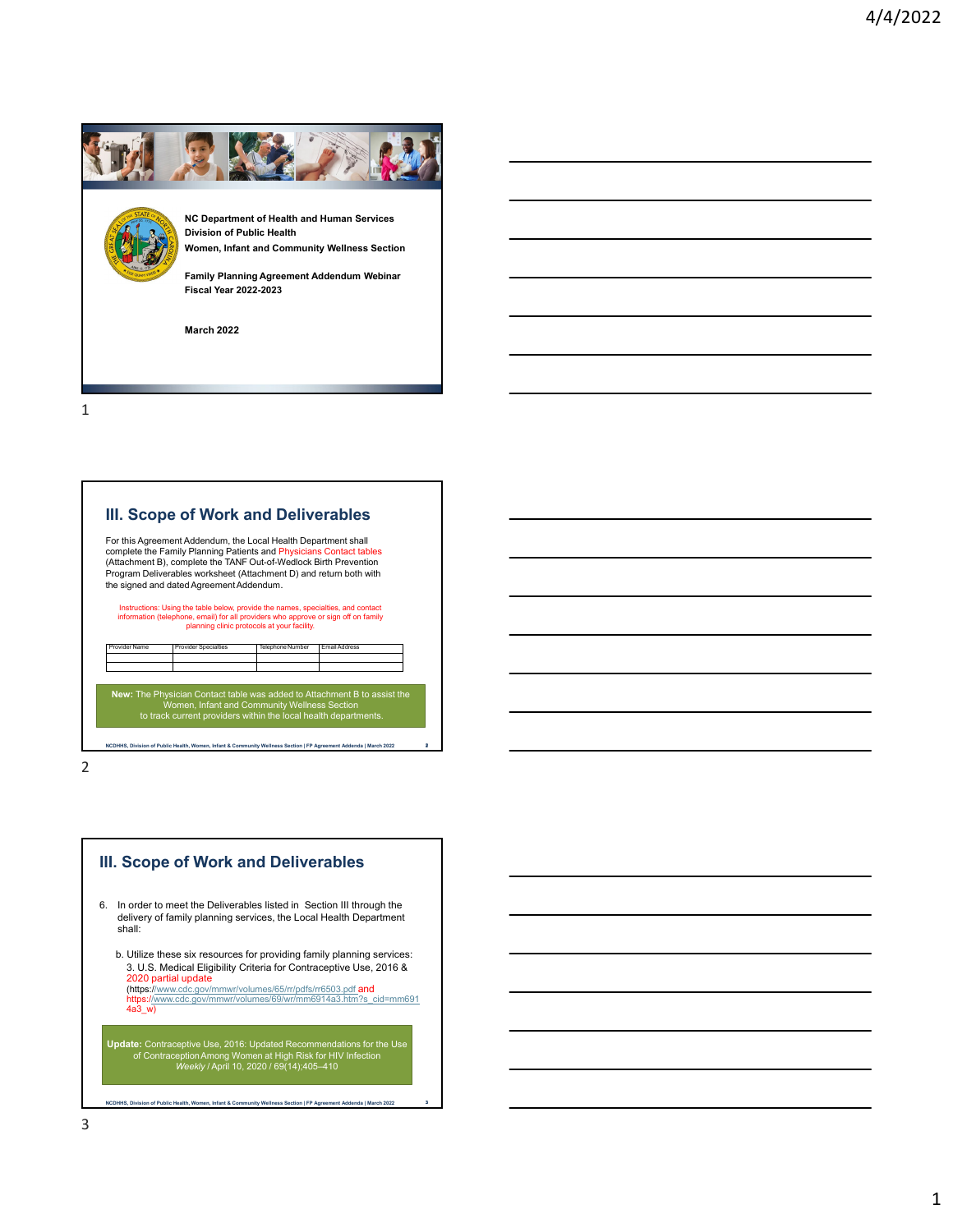

1



**NCDHHS, Division of Public Health, Women, Infant & Community Wellness Section | FP Agreement Addenda | March 2022 2**

2

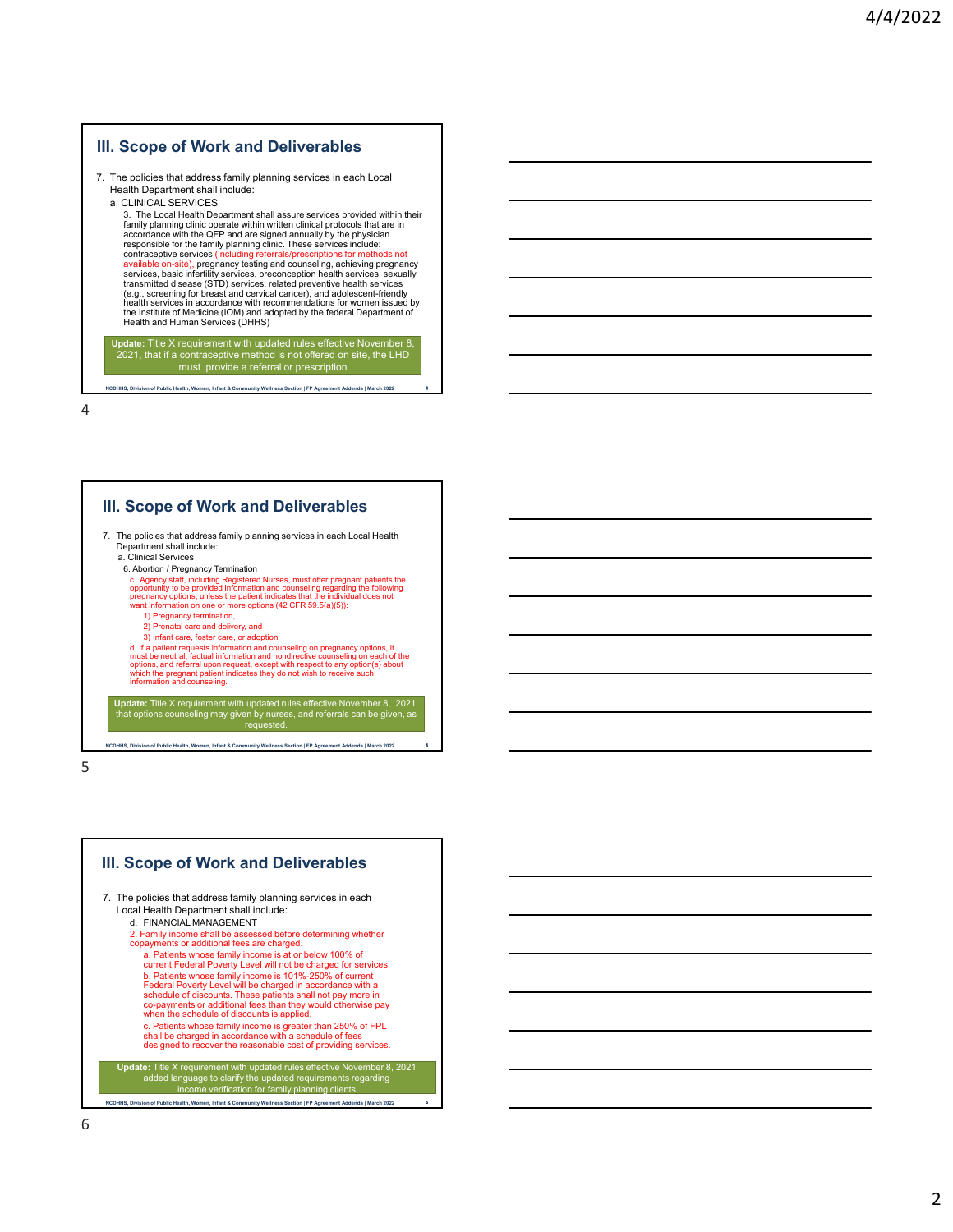## **III. Scope of Work and Deliverables**

7. The policies that address family planning services in each Local Health Department shall include:

## a. CLINICAL SERVICES

3. The Local Health Department shall assure services provided within their family planning clinic operate within written clinical protocols that are in<br>accordance with the QFP and are signed annually by the physician<br>responsible for the family planning clinic. These services include:<br>contraceptiv <mark>available on-site)</mark>, pregnancy testing and counseling, achieving pregnancy<br>services, basic infertility services, preconception health services, sexually<br>transmitted disease (STD) services, related preventive health servic (e.g., screening for breast and cervical cancer), and adolescent-friendly health services in accordance with recommendations for women issued by the Institute of Medicine (IOM) and adopted by the federal Department of Health and Human Services (DHHS)

**Update:** Title X requirement with updated rules effective November 8, 2021, that if a contraceptive method is not offered on site, the LHD must provide a referral or prescription

**4**

**NCDHHS, Division of Public Health, Women, Infant & Community Wellness Section | FP Agreement Addenda | March 2022**

4

# **III. Scope of Work and Deliverables**

- 7. The policies that address family planning services in each Local Health Department shall include: a. Clinical Services
	- 6. Abortion / Pregnancy Termination
	- c. Agency staff, including Registered Nurses, must offer pregnant patients the opportunity to be provided information and counseling regarding the following<br>pregnancy options, unless the patient indicates that the individual does not<br>want information on one or more options (42 CFR 59.5(a)(5)):
		- 1) Pregnancy termination, 2) Prenatal care and delivery, and
		- 3) Infant care, foster care, or adoption .
- **4NCDHHS, Division of Public Health, Women, Infant & Community Wellness Section | FP Agreement Addenda | March 2022** d. If a patient requests information and counseling on pregnancy options, it<br>must be neutral, factual information and nondirective counseling on each of the<br>options, and referral upon request, except with respect to any op

**Update:** Title X requirement with updated rules effective November 8, 2021, <br>that options counseling may given by nurses, and referrals can be given, as<br>requested.

5

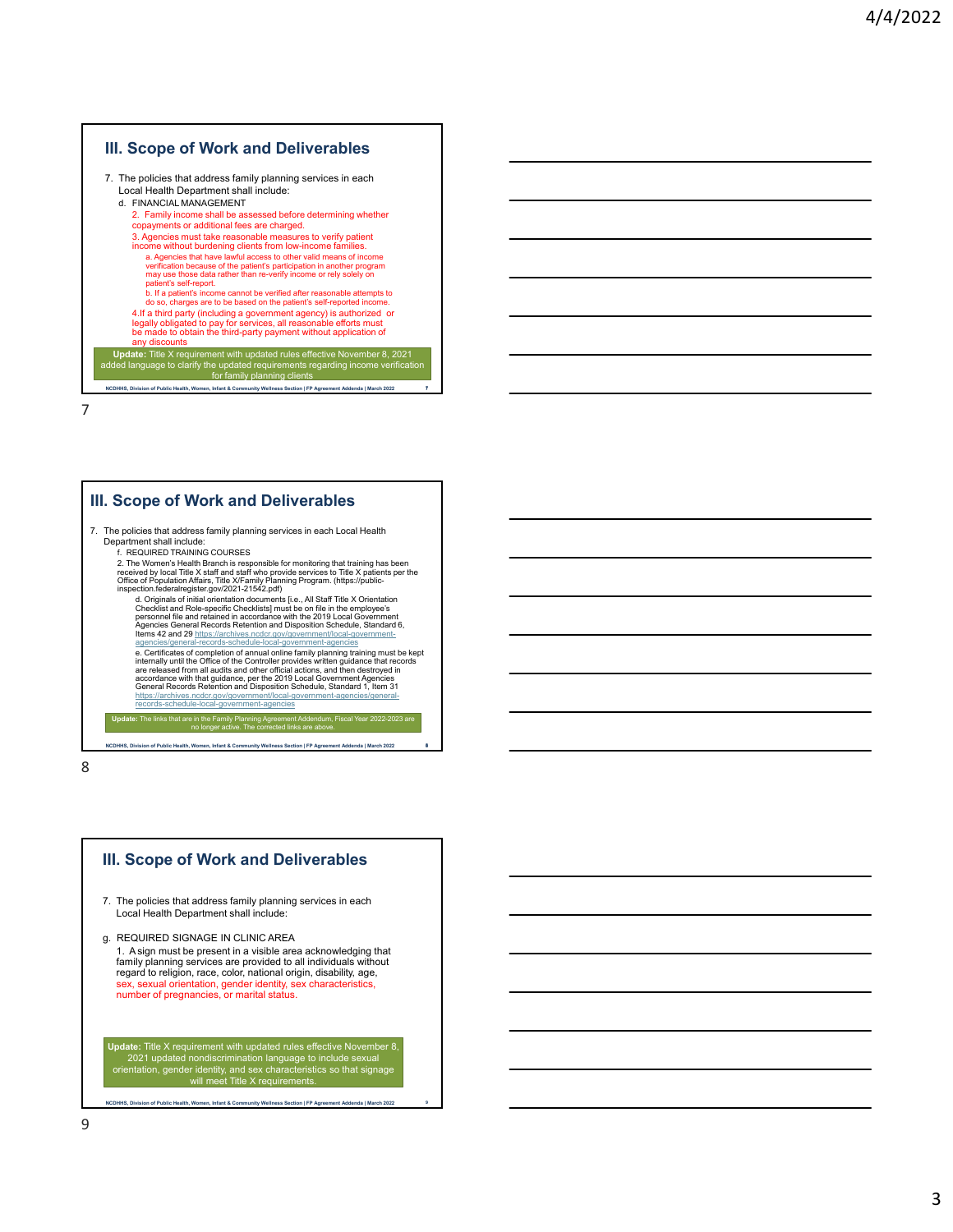

7

## **III. Scope of Work and Deliverables**

records-schedule-local-government-agencies

7. The policies that address family planning services in each Local Health Department shall include:

f. REQUIRED TRAINING COURSES<br>2. The Women's Health Branch is responsible for monitoring that training has been<br>received by local Title X staff and staff who provide services to Title X patients per the<br>Office of Population

d. Originals of initial orientation documents [i.e., All Staff Title X Orientation<br>Checklist and Role-specific Checklists] must be on file in the employee's<br>personnel file and retained in accordance with the 2019 Local Gov l**tems 42 and 29** <u>https://archives.ncdcr.gov/government/local-government-</u><br>agencies/general-records-schedule-local-government-agencies

**7NCDHHS, Division of Public Health, Women, Infant & Community Wellness Section | FP Agreement Addenda | March 2022 8** e. Certificates of completion of annual online family planning training must be kept<br>internally until the Office of the Controller provides written guidance that records<br>are released from all audits and other official acti https://archives.ncdcr.gov/government/local-government-agencies/general-

**Update:** The links that are in the Family Planning Agreement Addendum, Fiscal Year 2022-2023 are no longer active. The corrected links are above.

8



**Update:** Title X requirement with updated rules effective November 8,<br>2021 updated nondiscrimination language to include sexual<br>orientation, gender identity, and sex characteristics so that signage<br>will meet Title X requi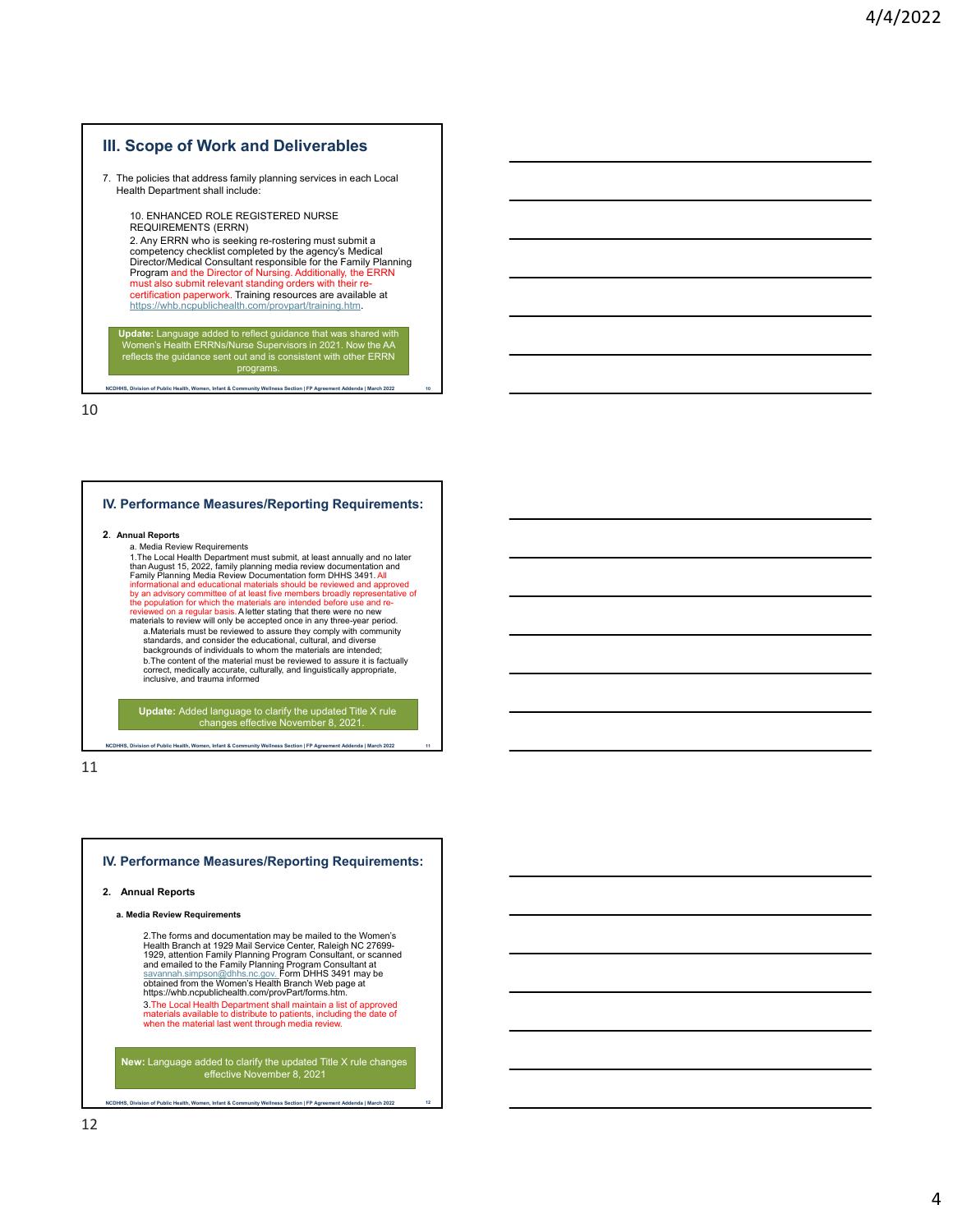## **III. Scope of Work and Deliverables**

7. The policies that address family planning services in each Local Health Department shall include:

10. ENHANCED ROLE REGISTERED NURSE REQUIREMENTS (ERRN) 2. Any ERRN who is seeking re-rostering must submit a competency checklist completed by the agency's Medical Director/Medical Consultant responsible for the Family Planning Program and the Director of Nursing. Additionally, the ERRN must also submit relevant standing orders with their recertification paperwork. Training resources are available at https://whb.ncpublichealth.com/provpart/training.htm.

**Update:** Language added to reflect guidance that was shared with Women's Health ERRNs/Nurse Supervisors in 2021. Now the AA reflects the guidance sent out and is consistent with other ERRN programs.

**NCDHHS, Division of Public Health, Women, Infant & Community Wellness Section | FP Agreement Addenda | March 2022 10**

10

### **IV. Performance Measures/Reporting Requirements:**

#### **2**. **Annual Reports**

#### a. Media Review Requirements

1.The Local Health Department must submit, at least annually and no later<br>than August 15, 2022, family planning media review documentation and<br>Family Planning Media Review Documentation form DHHS 3491. All informational and educational materials should be reviewed and approved<br>by an advisory committee of at least five members broadly representative of<br>the population for which the materials are intended before use and re-<br>rev materials to review will only be accepted once in any three-year period. a.Materials must be reviewed to assure they comply with community standards, and consider the educational, cultural, and diverse backgrounds of individuals to whom the materials are intended: b.The content of the material must be reviewed to assure it is factually correct, medically accurate, culturally, and linguistically appropriate, inclusive, and trauma informed

**Update:** Added language to clarify the updated Title X rule changes effective November 8, 2021.

**NCDHHS, Division of Public Health, Women, Infant & Community Wellness Section | FP Agreement Addenda | March 2022 11**

11

#### **IV. Performance Measures/Reporting Requirements:**

#### **2. Annual Reports**

**a. Media Review Requirements**

2. The forms and documentation may be mailed to the Women's<br>Health Branch at 1929 Mail Service Center, Raleigh NC 27699-<br>1929, attention Family Planning Program Consultant, or scanned<br>and emailed to the Family Planning Pro https://whb.ncpublichealth.com/provPart/forms.htm. 3.The Local Health Department shall maintain a list of approved materials available to distribute to patients, including the date of when the material last went through media review.

**New:** Language added to clarify the updated Title X rule changes effective November 8, 2021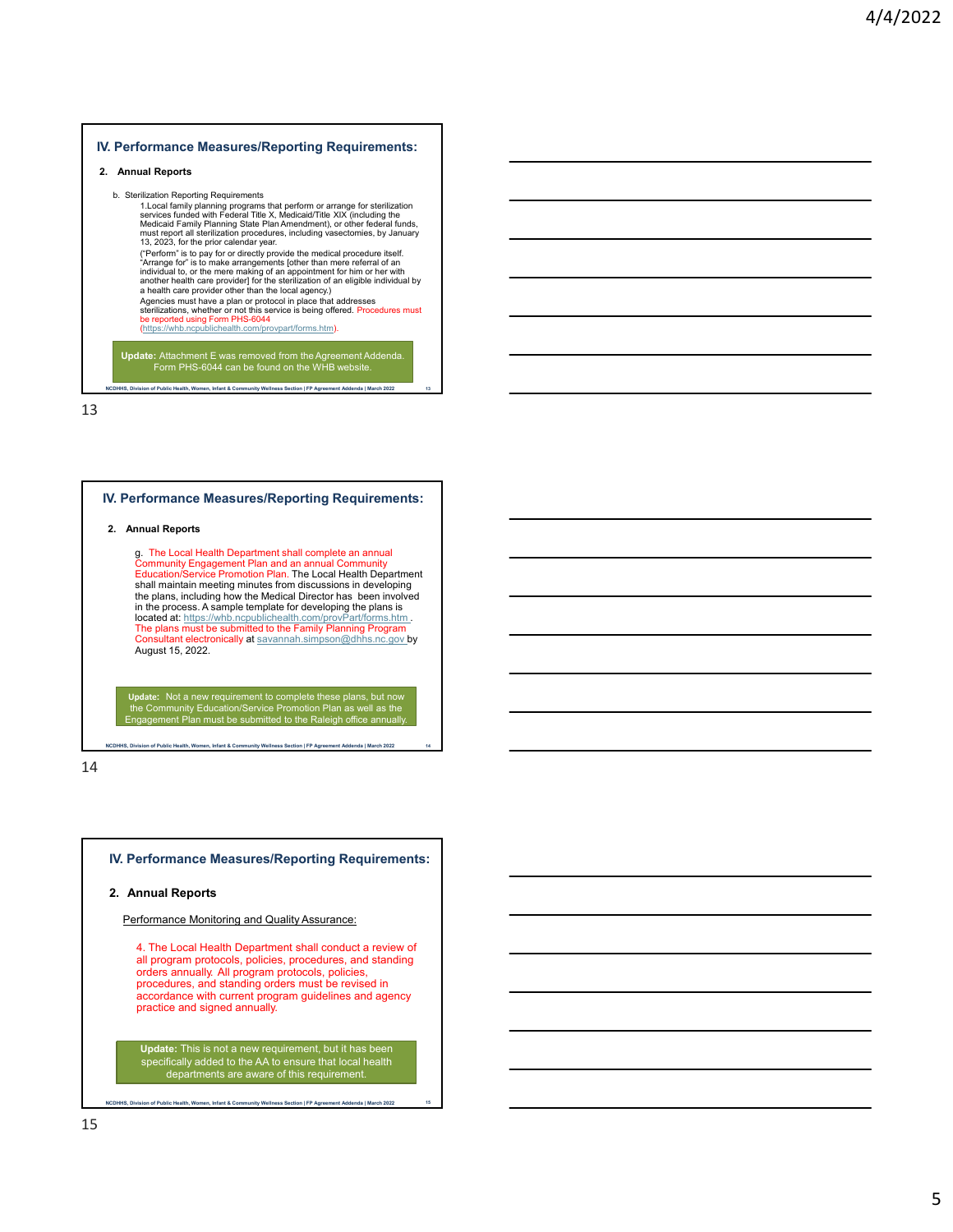## **IV. Performance Measures/Reporting Requirements:**

### **2. Annual Reports**

b. Sterilization Reporting Requirements

1.Local family planning programs that perform or arrange for sterilization services funded with Federal Title X, Medicaid/Title XIX (including the Medicaid Family Planning State Plan Amendment), or other federal funds,<br>must report all sterilization procedures, including vasectomies, by January<br>13, 2023, for the prior calendar year. ("Perform" is to pay for or directly provide the medical procedure itself.<br>"Arrange for" is to make arrangements [other than mere referral of an<br>individual to, or the mere making of an appointment for him or her with<br>anoth a health care provider other than the local agency.)

Agencies must have a plan or protocol in place that addresses sterilizations, whether or not this service is being offered. Procedures must<br>be reported using Form PHS-6044<br>(https://whb.ncpublichealth.com/provpart/forms.htm).

**Update:** Attachment E was removed from the Agreement Addenda. Form PHS-6044 can be found on the WHB website.

**NCDHHS, Division of Public Health, Women, Infant & Community Wellness Section | FP Agreement Addenda | March 2022 13**

13

### **IV. Performance Measures/Reporting Requirements:**

#### **2. Annual Reports**

g. The Local Health Department shall complete an annual Community Engagement Plan and an annual Community Education/Service Promotion Plan. The Local Health Department shall maintain meeting minutes from discussions in developing the plans, including how the Medical Director has been involved in the process. A sample template for developing the plans is located at: https://whb.ncpublichealth.com/provPart/forms.htm . The plans must be submitted to the Family Planning Program Consultant electronically at savannah.simpson@dhhs.nc.gov by August 15, 2022.

**Update:** Not a new requirement to complete these plans, but now In must be submitted to the  $\mathsf R_i$ 

**Nonetherry of Public Health, Women, Infant & Community Wellness Section | FP Agreement Addenda | March 2022** 

14

#### **IV. Performance Measures/Reporting Requirements:**

#### **2. Annual Reports**

Performance Monitoring and Quality Assurance:

4. The Local Health Department shall conduct a review of all program protocols, policies, procedures, and standing orders annually. All program protocols, policies, procedures, and standing orders must be revised in accordance with current program guidelines and agency practice and signed annually.

**Update: Update:** This is not a new requirement, but it has been specifically added to the AA to ensure that local health departments are aware of this requirement.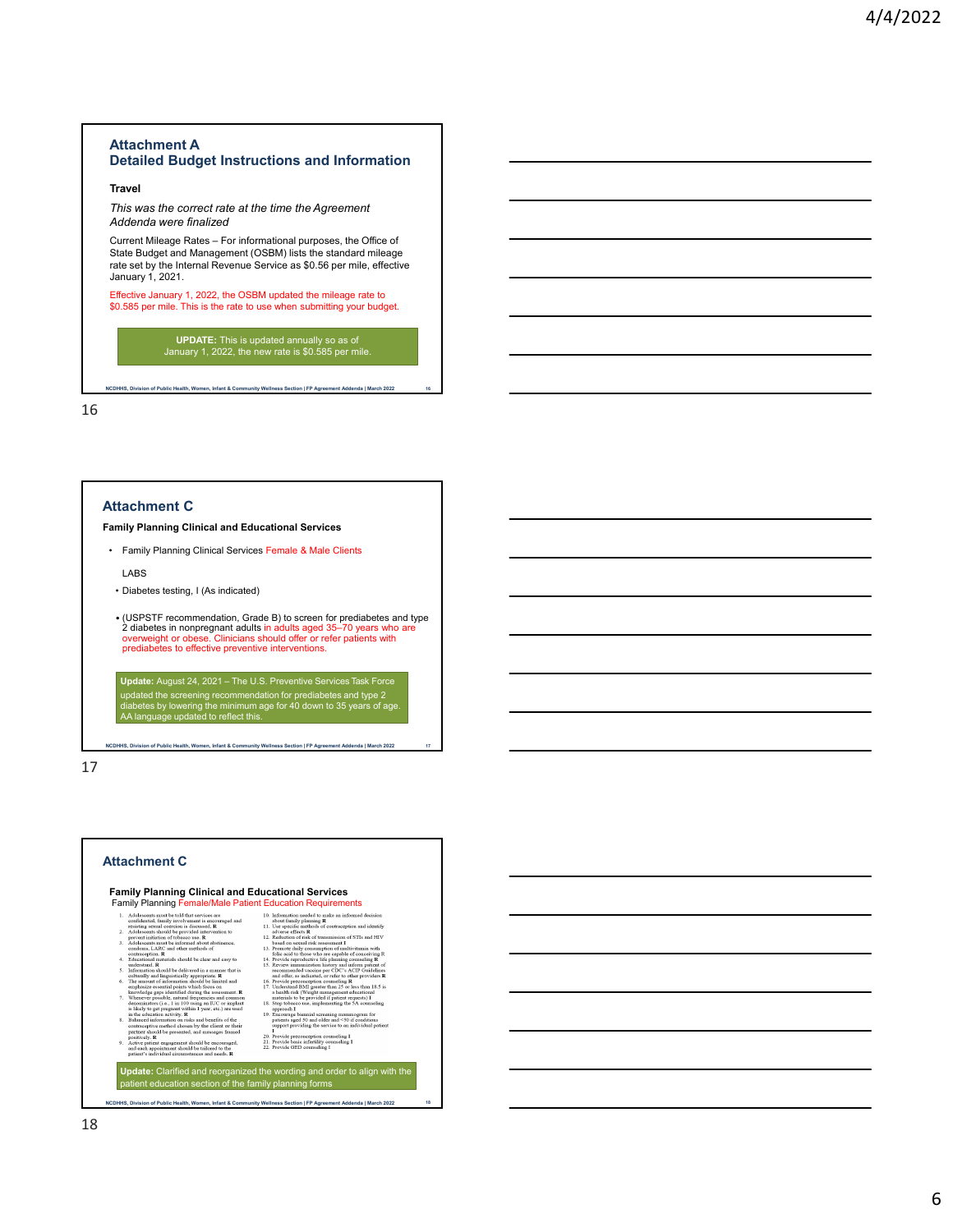## **Attachment A Detailed Budget Instructions and Information**

#### **Travel**

*This was the correct rate at the time the Agreement Addenda were finalized*

Current Mileage Rates – For informational purposes, the Office of State Budget and Management (OSBM) lists the standard mileage rate set by the Internal Revenue Service as \$0.56 per mile, effective January 1, 2021.

Effective January 1, 2022, the OSBM updated the mileage rate to \$0.585 per mile. This is the rate to use when submitting your budget.

**UPDATE:** This is updated annually so as of January 1, 2022, the new rate is \$0.585 per mile.

**NCDHHS, Division of Public Health, Women, Infant & Community Wellness Section | FP Agreement Addenda | March 2022 16**

16

## **Attachment C**

**Family Planning Clinical and Educational Services**

• Family Planning Clinical Services Female & Male Clients

LABS

- Diabetes testing, I (As indicated)
- (USPSTF recommendation, Grade B) to screen for prediabetes and type 2 diabetes in nonpregnant adults in adults aged 35–70 years who are<br>overweight or obese. Clinicians should offer or refer patients with<br>prediabetes to effective preventive interventions.

m age fo **Update:** August 24, 2021 – The U.S. Preventive Services Task Force updated the screening recommendation for prediabetes and type 2 diabetes by lowering the minimum age for 40 down to 35 years of age. AA language updated to reflect this.

**NCDHHS, Division of Public Health, Women, Infant & Community Wellness Section | FP Agreement Addenda | March 2022 17**

17

#### **Attachment C**